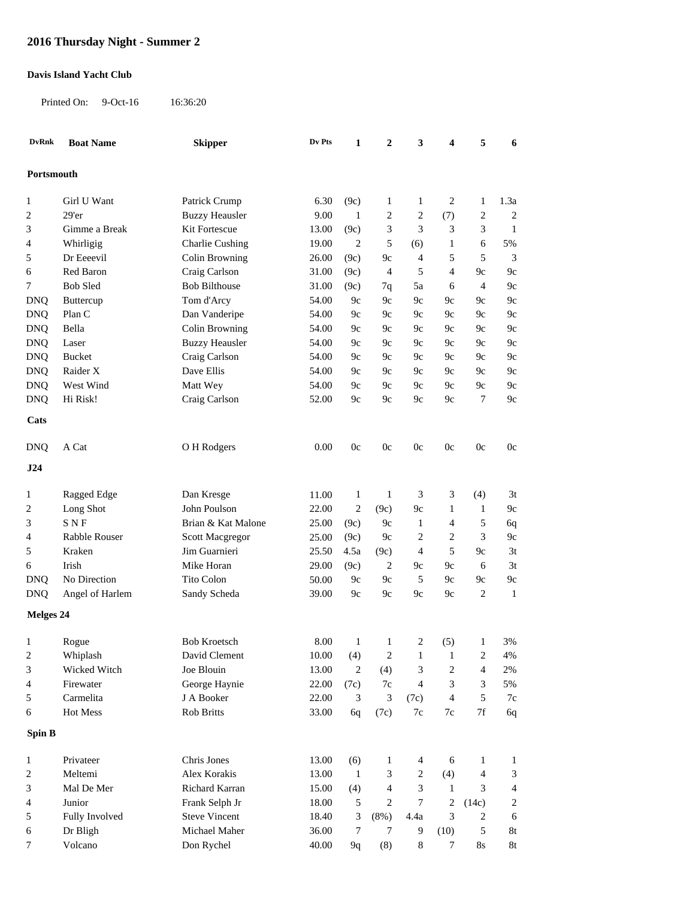## **2016 Thursday Night - Summer 2**

## **Davis Island Yacht Club**

Printed On: 9-Oct-16 16:36:20

| <b>DvRnk</b>      | <b>Boat Name</b>  | <b>Skipper</b>         | Dv Pts        | $\mathbf{1}$   | $\boldsymbol{2}$ | 3              | 4              | 5                    | 6                           |
|-------------------|-------------------|------------------------|---------------|----------------|------------------|----------------|----------------|----------------------|-----------------------------|
| Portsmouth        |                   |                        |               |                |                  |                |                |                      |                             |
|                   |                   |                        |               |                |                  |                |                |                      |                             |
| 1                 | Girl U Want       | Patrick Crump          | 6.30          | (9c)           | 1                | 1              | 2              | $\mathbf{1}$         | 1.3a                        |
| 2                 | 29'er             | <b>Buzzy Heausler</b>  | 9.00          | $\mathbf{1}$   | 2                | 2              | (7)            | $\overline{c}$       | $\overline{c}$              |
| 3                 | Gimme a Break     | Kit Fortescue          | 13.00         | (9c)           | 3                | 3              | 3              | 3                    | $\mathbf{1}$                |
| 4                 | Whirligig         | <b>Charlie Cushing</b> | 19.00         | $\overline{2}$ | 5                | (6)            | 1              | 6                    | 5%                          |
| 5                 | Dr Eeeevil        | Colin Browning         | 26.00         | (9c)           | $9c$             | $\overline{4}$ | 5              | 5                    | 3                           |
| 6                 | Red Baron         | Craig Carlson          | 31.00         | (9c)           | $\overline{4}$   | 5              | $\overline{4}$ | 9c                   | 9c                          |
| 7                 | <b>Bob Sled</b>   | <b>Bob Bilthouse</b>   | 31.00         | (9c)           | 7q               | 5a             | 6              | $\overline{4}$       | 9c                          |
| <b>DNQ</b>        | Buttercup         | Tom d'Arcy             | 54.00         | 9c             | 9c               | 9c             | 9с             | 9c                   | 9c                          |
| <b>DNQ</b>        | Plan C            | Dan Vanderipe          | 54.00         | 9c             | 9c               | 9c             | 9с             | 9c                   | 9c                          |
| <b>DNQ</b>        | Bella             | Colin Browning         | 54.00         | 9c             | 9c               | 9c             | 9с             | 9c                   | 9c                          |
| <b>DNQ</b>        | Laser             | <b>Buzzy Heausler</b>  | 54.00         | 9c             | 9c               | 9c             | 9с             | 9c                   | 9c                          |
| <b>DNQ</b>        | <b>Bucket</b>     | Craig Carlson          | 54.00         | 9c             | 9c               | 9c             | 9c             | 9c                   | 9c                          |
| <b>DNQ</b>        | Raider X          | Dave Ellis             | 54.00         | 9c             | 9c               | 9c             | 9c             | 9c                   | 9c                          |
| <b>DNQ</b>        | West Wind         | Matt Wey               | 54.00         | 9c             | 9c               | 9c             | 9c             | 9c                   | 9c                          |
| <b>DNQ</b>        | Hi Risk!          | Craig Carlson          | 52.00         | 9c             | 9c               | 9c             | 9c             | $\overline{7}$       | 9c                          |
| Cats              |                   |                        |               |                |                  |                |                |                      |                             |
| <b>DNQ</b>        | A Cat             | O H Rodgers            | 0.00          | 0c             | 0c               | 0c             | 0c             | 0c                   | 0c                          |
| J24               |                   |                        |               |                |                  |                |                |                      |                             |
| 1                 | Ragged Edge       | Dan Kresge             | 11.00         | $\mathbf{1}$   | $\mathbf{1}$     | 3              | 3              | (4)                  | 3t                          |
| $\overline{c}$    | Long Shot         | John Poulson           | 22.00         | $\overline{2}$ | (9c)             | $9c$           | 1              | $\mathbf{1}$         | 9c                          |
| 3                 | <b>SNF</b>        | Brian & Kat Malone     | 25.00         | (9c)           | 9c               | $\mathbf{1}$   | 4              | 5                    | 6q                          |
| 4                 | Rabble Rouser     | Scott Macgregor        | 25.00         | (9c)           | 9c               | 2              | $\overline{c}$ | 3                    | 9c                          |
| 5                 | Kraken            | Jim Guarnieri          | 25.50         | 4.5a           | (9c)             | 4              | 5              | 9c                   | 3t                          |
| 6                 | Irish             | Mike Horan             | 29.00         | (9c)           | 2                | 9c             | 9c             | 6                    | 3t                          |
| <b>DNQ</b>        | No Direction      | Tito Colon             | 50.00         | 9c             | 9c               | 5              | 9c             | 9c                   | 9c                          |
| <b>DNQ</b>        | Angel of Harlem   | Sandy Scheda           | 39.00         | 9c             | 9c               | 9c             | 9c             | $\overline{c}$       | $\mathbf{1}$                |
| <b>Melges 24</b>  |                   |                        |               |                |                  |                |                |                      |                             |
|                   |                   | <b>Bob Kroetsch</b>    |               |                |                  | 2              |                |                      |                             |
| $\mathbf{1}$<br>2 | Rogue<br>Whiplash | David Clement          | 8.00<br>10.00 | (4)            | $1 \quad 1$<br>2 | 1              | (5)<br>1       | -1<br>$\overline{c}$ | 3%<br>4%                    |
| 3                 | Wicked Witch      | Joe Blouin             | 13.00         | $\overline{c}$ | (4)              | 3              | 2              | $\overline{4}$       | 2%                          |
| 4                 | Firewater         | George Haynie          | 22.00         | (7c)           | 7c               | 4              | 3              | 3                    | 5%                          |
| 5                 | Carmelita         | J A Booker             | 22.00         | 3              | 3                | (7c)           | 4              | 5                    | 7c                          |
| 6                 | Hot Mess          | Rob Britts             | 33.00         | 6q             | (7c)             | 7c             | $7\mathrm{c}$  | $7\mathrm{f}$        | 6q                          |
| Spin B            |                   |                        |               |                |                  |                |                |                      |                             |
|                   |                   |                        |               |                |                  |                |                |                      |                             |
| $\mathbf{1}$      | Privateer         | Chris Jones            | 13.00         | (6)            | 1                | 4              | 6              | $\mathbf{1}$         | $\mathbf{1}$                |
| $\sqrt{2}$        | Meltemi           | Alex Korakis           | 13.00         | $\mathbf{1}$   | 3                | 2              | (4)            | $\overline{4}$       | $\ensuremath{\mathfrak{Z}}$ |
| 3                 | Mal De Mer        | Richard Karran         | 15.00         | (4)            | 4                | 3              | 1              | 3                    | $\overline{\mathbf{4}}$     |
| 4                 | Junior            | Frank Selph Jr         | 18.00         | 5              | 2                | 7              | $\overline{c}$ | (14c)                | $\overline{c}$              |
| 5                 | Fully Involved    | <b>Steve Vincent</b>   | 18.40         | 3              | (8%)             | 4.4a           | 3              | 2                    | 6                           |
| 6                 | Dr Bligh          | Michael Maher          | 36.00         | $\tau$         | 7                | 9              | (10)           | $\sqrt{5}$           | 8t                          |
| 7                 | Volcano           | Don Rychel             | 40.00         | 9q             | (8)              | 8              | 7              | $8\mathrm{s}$        | 8t                          |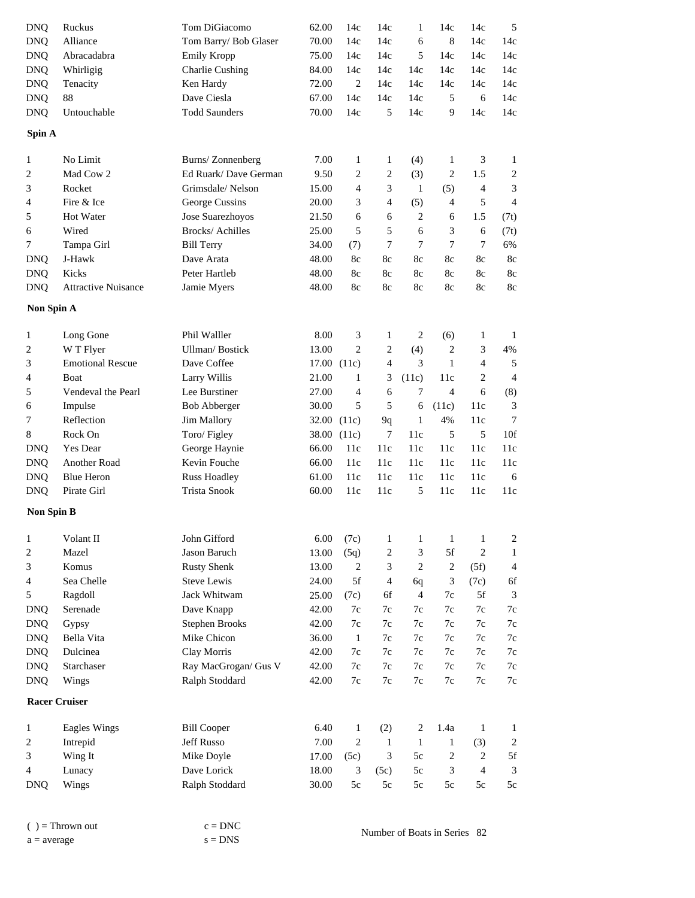| <b>DNQ</b>           | Ruckus                     | Tom DiGiacomo          | 62.00 | 14c                         | 14c            | $\mathbf{1}$   | 14c            | 14c              | 5                       |
|----------------------|----------------------------|------------------------|-------|-----------------------------|----------------|----------------|----------------|------------------|-------------------------|
| <b>DNQ</b>           | Alliance                   | Tom Barry/ Bob Glaser  | 70.00 | 14c                         | 14c            | 6              | $\,$ 8 $\,$    | 14c              | 14c                     |
| <b>DNQ</b>           | Abracadabra                | Emily Kropp            | 75.00 | 14c                         | 14c            | 5              | 14c            | 14c              | 14c                     |
| <b>DNQ</b>           | Whirligig                  | <b>Charlie Cushing</b> | 84.00 | 14c                         | 14c            | 14c            | 14c            | 14c              | 14c                     |
| <b>DNQ</b>           | Tenacity                   | Ken Hardy              | 72.00 | 2                           | 14c            | 14c            | 14c            | 14c              | 14c                     |
| <b>DNQ</b>           | 88                         | Dave Ciesla            | 67.00 | 14c                         | 14c            | 14c            | 5              | 6                | 14c                     |
| <b>DNQ</b>           | Untouchable                | <b>Todd Saunders</b>   | 70.00 | 14c                         | 5              | 14c            | 9              | 14c              | 14c                     |
|                      |                            |                        |       |                             |                |                |                |                  |                         |
| Spin A               |                            |                        |       |                             |                |                |                |                  |                         |
| 1                    | No Limit                   | Burns/Zonnenberg       | 7.00  | $\mathbf{1}$                | $\mathbf{1}$   | (4)            | 1              | 3                | 1                       |
| 2                    | Mad Cow 2                  | Ed Ruark/Dave German   | 9.50  | $\boldsymbol{2}$            | $\sqrt{2}$     | (3)            | $\overline{c}$ | 1.5              | $\overline{\mathbf{c}}$ |
| 3                    | Rocket                     | Grimsdale/Nelson       | 15.00 | 4                           | 3              | $\mathbf{1}$   | (5)            | $\overline{4}$   | 3                       |
| 4                    | Fire & Ice                 | George Cussins         | 20.00 | 3                           | $\overline{4}$ | (5)            | $\overline{4}$ | 5                | $\overline{4}$          |
| 5                    | Hot Water                  | Jose Suarezhoyos       | 21.50 | 6                           | 6              | $\sqrt{2}$     | 6              | 1.5              | (7t)                    |
| 6                    | Wired                      | Brocks/ Achilles       | 25.00 | 5                           | 5              | 6              | 3              | 6                | (7t)                    |
| 7                    | Tampa Girl                 | <b>Bill Terry</b>      | 34.00 | (7)                         | $\tau$         | 7              | $\tau$         | $\boldsymbol{7}$ | 6%                      |
| <b>DNQ</b>           | J-Hawk                     | Dave Arata             | 48.00 | 8c                          | 8c             | 8c             | 8c             | 8c               | $8\mathrm{c}$           |
| <b>DNQ</b>           | Kicks                      | Peter Hartleb          | 48.00 | 8c                          | 8c             | 8c             | 8c             | 8c               | $8\mathrm{c}$           |
| <b>DNQ</b>           | <b>Attractive Nuisance</b> | Jamie Myers            | 48.00 | 8c                          | 8c             | 8c             | 8c             | 8c               | 8c                      |
| Non Spin A           |                            |                        |       |                             |                |                |                |                  |                         |
| $\mathbf{1}$         | Long Gone                  | Phil Walller           | 8.00  | $\ensuremath{\mathfrak{Z}}$ | 1              | $\overline{c}$ | (6)            | $\mathbf{1}$     | $\mathbf{1}$            |
| 2                    | W T Flyer                  | <b>Ullman/Bostick</b>  | 13.00 | $\mathfrak{2}$              | $\sqrt{2}$     | (4)            | $\overline{c}$ | 3                | 4%                      |
| 3                    | <b>Emotional Rescue</b>    | Dave Coffee            |       | 17.00 (11c)                 | 4              | 3              | $\mathbf{1}$   | $\overline{4}$   | 5                       |
| 4                    | Boat                       | Larry Willis           | 21.00 | 1                           | 3              | (11c)          | 11c            | $\overline{2}$   | $\overline{4}$          |
| 5                    | Vendeval the Pearl         | Lee Burstiner          | 27.00 | $\overline{4}$              | 6              | 7              | $\overline{4}$ | 6                | (8)                     |
| 6                    | Impulse                    | <b>Bob Abberger</b>    | 30.00 | 5                           | 5              | 6              | (11c)          | 11c              | 3                       |
| 7                    | Reflection                 | Jim Mallory            |       | 32.00 (11c)                 | 9q             | $\mathbf{1}$   | 4%             | 11c              | 7                       |
| 8                    | Rock On                    | Toro/Figley            |       | 38.00 (11c)                 | $\tau$         | 11c            | 5              | 5                | 10f                     |
| <b>DNQ</b>           | Yes Dear                   | George Haynie          | 66.00 | 11c                         | 11c            | 11c            | 11c            | 11c              | $11c$                   |
| <b>DNQ</b>           | Another Road               | Kevin Fouche           | 66.00 | 11c                         | 11c            | 11c            | 11c            | 11c              | 11c                     |
| <b>DNQ</b>           | <b>Blue Heron</b>          | <b>Russ Hoadley</b>    | 61.00 | 11c                         | 11c            | 11c            | 11c            | 11c              | $\sqrt{6}$              |
| <b>DNQ</b>           | Pirate Girl                | <b>Trista Snook</b>    | 60.00 | 11c                         | 11c            | 5              | 11c            | 11c              | 11c                     |
|                      |                            |                        |       |                             |                |                |                |                  |                         |
| <b>Non Spin B</b>    |                            |                        |       |                             |                |                |                |                  |                         |
| $\mathbf{1}$         | Volant II                  | John Gifford           | 6.00  | (7c)                        | 1              | 1              | 1              | $\mathbf{1}$     | $\overline{\mathbf{c}}$ |
| 2                    | Mazel                      | Jason Baruch           | 13.00 | (5q)                        | $\overline{c}$ | 3              | 5f             | $\overline{c}$   | 1                       |
| 3                    | Komus                      | <b>Rusty Shenk</b>     | 13.00 | 2                           | 3              | 2              | $\overline{c}$ | (5f)             | 4                       |
| 4                    | Sea Chelle                 | <b>Steve Lewis</b>     | 24.00 | 5f                          | $\overline{4}$ | 6q             | 3              | (7c)             | 6f                      |
| 5                    | Ragdoll                    | Jack Whitwam           | 25.00 | (7c)                        | 6f             | 4              | 7c             | 5f               | 3                       |
| <b>DNQ</b>           | Serenade                   | Dave Knapp             | 42.00 | 7c                          | 7c             | 7c             | 7c             | 7c               | $7\mathrm{c}$           |
| <b>DNQ</b>           | Gypsy                      | <b>Stephen Brooks</b>  | 42.00 | 7c                          | 7c             | 7c             | 7c             | 7c               | $7\mathrm{c}$           |
| <b>DNQ</b>           | Bella Vita                 | Mike Chicon            | 36.00 | $\mathbf{1}$                | 7c             | 7c             | 7c             | 7c               | $7\mathrm{c}$           |
| <b>DNQ</b>           | Dulcinea                   | Clay Morris            | 42.00 | 7c                          | 7c             | 7c             | 7c             | 7c               | 7c                      |
| <b>DNQ</b>           | Starchaser                 | Ray MacGrogan/ Gus V   | 42.00 | 7c                          | $7\mathrm{c}$  | 7c             | 7c             | $7\mathrm{c}$    | $7\mathrm{c}$           |
| <b>DNQ</b>           | Wings                      | Ralph Stoddard         | 42.00 | 7c                          | $7\mathrm{c}$  | 7c             | $7\mathrm{c}$  | $7\mathrm{c}$    | $7\mathrm{c}$           |
| <b>Racer Cruiser</b> |                            |                        |       |                             |                |                |                |                  |                         |
| 1                    | Eagles Wings               | <b>Bill Cooper</b>     | 6.40  | $\mathbf{1}$                | (2)            | $\overline{c}$ | 1.4a           | $\mathbf{1}$     | 1                       |
| 2                    | Intrepid                   | Jeff Russo             | 7.00  | $\mathbf{2}$                | -1             | $\mathbf{1}$   | 1              | (3)              | $\overline{c}$          |
| 3                    | Wing It                    | Mike Doyle             | 17.00 | (5c)                        | 3              | 5c             | $\overline{c}$ | 2                | 5f                      |
| 4                    | Lunacy                     | Dave Lorick            | 18.00 | 3                           | (5c)           | 5c             | 3              | $\overline{4}$   | $\mathfrak{Z}$          |
| <b>DNQ</b>           | Wings                      | Ralph Stoddard         | 30.00 | 5c                          | 5c             | 5c             | 5c             | 5c               | $5c$                    |
|                      |                            |                        |       |                             |                |                |                |                  |                         |

| $()$ = Thrown out | $c = DNC$ | Number of Boats in Series 82 |  |
|-------------------|-----------|------------------------------|--|
| $a = average$     | $s = DNS$ |                              |  |